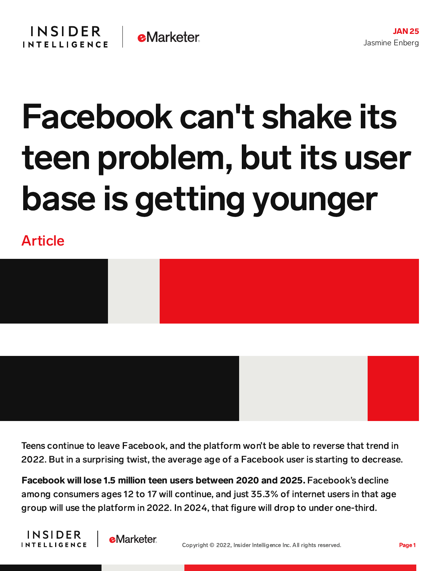## Facebook can't shake its teen problem, but its user base is getting younger

Article



Teens continue to leave Facebook, and the platform won't be able to reverse that trend in 2022. But in a surprising twist, the average age of a Facebook user is starting to decrease.

Facebook will lose 1.5 million teen users between 2020 and 2025. Facebook's decline among consumers ages 12 to 17 will continue, and just 35.3% of internet users in that age group will use the platform in 2022. In 2024, that figure will drop to under one-third.



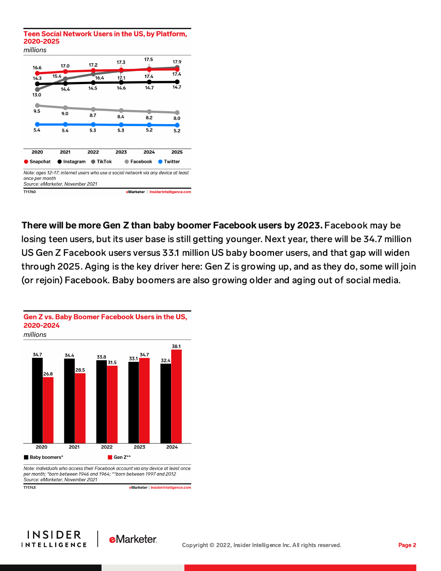Teen Social Network Users in the US, by Platform, 2020-2025



There will be more Gen Z than baby boomer Facebook users by 2023. Facebook may be losing teen users, but its user base is still getting younger. Next year, there will be 34.7 million US Gen Z Facebook users versus 33.1 million US baby boomer users, and that gap will widen through 2025. Aging is the key driver here: Gen Z is growing up, and as they do, some will join (or rejoin) Facebook. Baby boomers are also growing older and aging out of social media.





Note: individuals who access their Facebook account via any device at least once per month; \*born between 1946 and 1964; \*\*born between 1997 and 2012 Source: eMarketer, November 2021

T11743

eMarketer | InsiderIntelligence.com